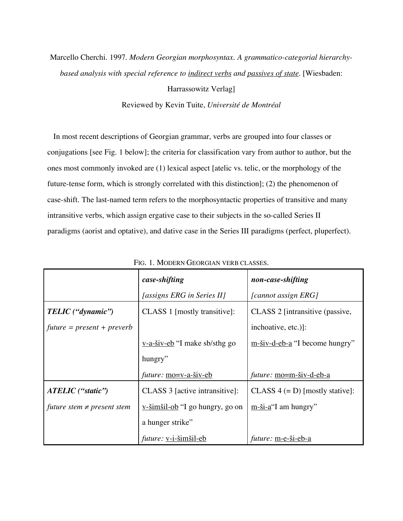# Marcello Cherchi. 1997. *Modern Georgian morphosyntax. A grammatico-categorial hierarchybased analysis with special reference to indirect verbs and passives of state.* [Wiesbaden:

Harrassowitz Verlag]

Reviewed by Kevin Tuite, *Université de Montréal*

In most recent descriptions of Georgian grammar, verbs are grouped into four classes or conjugations [see Fig. 1 below]; the criteria for classification vary from author to author, but the ones most commonly invoked are (1) lexical aspect [atelic vs. telic, or the morphology of the future-tense form, which is strongly correlated with this distinction]; (2) the phenomenon of case-shift. The last-named term refers to the morphosyntactic properties of transitive and many intransitive verbs, which assign ergative case to their subjects in the so-called Series II paradigms (aorist and optative), and dative case in the Series III paradigms (perfect, pluperfect).

|                                 | case-shifting                          | non-case-shifting                  |
|---------------------------------|----------------------------------------|------------------------------------|
|                                 | [assigns ERG in Series II]             | [cannot assign ERG]                |
| TELIC ("dynamic")               | CLASS 1 [mostly transitive]:           | CLASS 2 [intransitive (passive,    |
| $future = present + prevent$    |                                        | inchoative, etc.)]:                |
|                                 | $v-a-\text{siv-eb}$ "I make sb/sthg go | $m$ -šiv-d-eb-a "I become hungry"  |
|                                 | hungry"                                |                                    |
|                                 | <i>future:</i> mo=v-a-šiv-eb           | future: mo=m-šiv-d-eb-a            |
| ATELIC ("static")               | CLASS 3 [active intransitive]:         | CLASS $4 (= D)$ [mostly stative]:  |
| future stem $\neq$ present stem | <u>v-šimšil-ob</u> "I go hungry, go on | $m$ -ši-a" <sup>I</sup> am hungry" |
|                                 | a hunger strike"                       |                                    |
|                                 | <i>future:</i> <u>v-i-šimšil-eb</u>    | <i>future:</i> m-e-ši-eb-a         |

FIG. 1. MODERN GEORGIAN VERB CLASSES.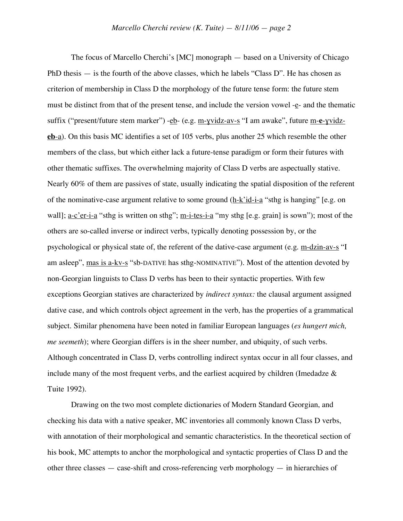The focus of Marcello Cherchi's [MC] monograph — based on a University of Chicago PhD thesis — is the fourth of the above classes, which he labels "Class D". He has chosen as criterion of membership in Class D the morphology of the future tense form: the future stem must be distinct from that of the present tense, and include the version vowel -e- and the thematic suffix ("present/future stem marker") -eb- (e.g. m-ɣvidz-av-s "I am awake", future m-**e**-ɣvidz**eb**-a). On this basis MC identifies a set of 105 verbs, plus another 25 which resemble the other members of the class, but which either lack a future-tense paradigm or form their futures with other thematic suffixes. The overwhelming majority of Class D verbs are aspectually stative. Nearly 60% of them are passives of state, usually indicating the spatial disposition of the referent of the nominative-case argument relative to some ground (h-k'id-i-a "sthg is hanging" [e.g. on wall]; <u>a-c'er-i-a</u> "sthg is written on sthg"; <u>m-i-tes-i-a</u> "my sthg [e.g. grain] is sown"); most of the others are so-called inverse or indirect verbs, typically denoting possession by, or the psychological or physical state of, the referent of the dative-case argument (e.g. m-dzin-av-s "I am asleep", mas is a-kv-s "sb-DATIVE has sthg-NOMINATIVE"). Most of the attention devoted by non-Georgian linguists to Class D verbs has been to their syntactic properties. With few exceptions Georgian statives are characterized by *indirect syntax:* the clausal argument assigned dative case, and which controls object agreement in the verb, has the properties of a grammatical subject. Similar phenomena have been noted in familiar European languages (*es hungert mich, me seemeth*); where Georgian differs is in the sheer number, and ubiquity, of such verbs. Although concentrated in Class D, verbs controlling indirect syntax occur in all four classes, and include many of the most frequent verbs, and the earliest acquired by children (Imedadze  $\&$ Tuite 1992).

Drawing on the two most complete dictionaries of Modern Standard Georgian, and checking his data with a native speaker, MC inventories all commonly known Class D verbs, with annotation of their morphological and semantic characteristics. In the theoretical section of his book, MC attempts to anchor the morphological and syntactic properties of Class D and the other three classes — case-shift and cross-referencing verb morphology — in hierarchies of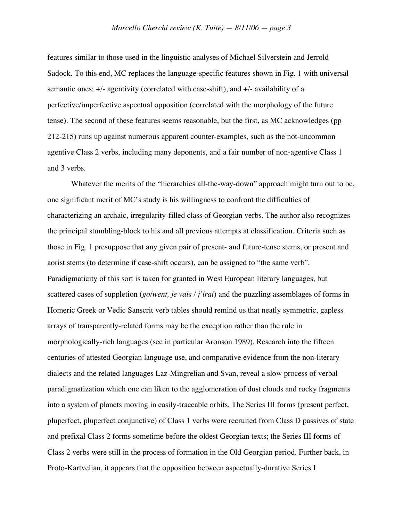features similar to those used in the linguistic analyses of Michael Silverstein and Jerrold Sadock. To this end, MC replaces the language-specific features shown in Fig. 1 with universal semantic ones: +/- agentivity (correlated with case-shift), and +/- availability of a perfective/imperfective aspectual opposition (correlated with the morphology of the future tense). The second of these features seems reasonable, but the first, as MC acknowledges (pp 212-215) runs up against numerous apparent counter-examples, such as the not-uncommon agentive Class 2 verbs, including many deponents, and a fair number of non-agentive Class 1 and 3 verbs.

Whatever the merits of the "hierarchies all-the-way-down" approach might turn out to be, one significant merit of MC's study is his willingness to confront the difficulties of characterizing an archaic, irregularity-filled class of Georgian verbs. The author also recognizes the principal stumbling-block to his and all previous attempts at classification. Criteria such as those in Fig. 1 presuppose that any given pair of present- and future-tense stems, or present and aorist stems (to determine if case-shift occurs), can be assigned to "the same verb". Paradigmaticity of this sort is taken for granted in West European literary languages, but scattered cases of suppletion (*go/went, je vais / j'irai*) and the puzzling assemblages of forms in Homeric Greek or Vedic Sanscrit verb tables should remind us that neatly symmetric, gapless arrays of transparently-related forms may be the exception rather than the rule in morphologically-rich languages (see in particular Aronson 1989). Research into the fifteen centuries of attested Georgian language use, and comparative evidence from the non-literary dialects and the related languages Laz-Mingrelian and Svan, reveal a slow process of verbal paradigmatization which one can liken to the agglomeration of dust clouds and rocky fragments into a system of planets moving in easily-traceable orbits. The Series III forms (present perfect, pluperfect, pluperfect conjunctive) of Class 1 verbs were recruited from Class D passives of state and prefixal Class 2 forms sometime before the oldest Georgian texts; the Series III forms of Class 2 verbs were still in the process of formation in the Old Georgian period. Further back, in Proto-Kartvelian, it appears that the opposition between aspectually-durative Series I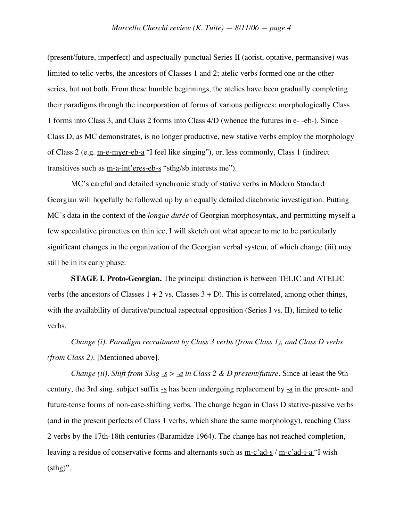(present/future, imperfect) and aspectually-punctual Series II (aorist, optative, permansive) was limited to telic verbs, the ancestors of Classes 1 and 2; atelic verbs formed one or the other series, but not both. From these humble beginnings, the atelics have been gradually completing their paradigms through the incorporation of forms of various pedigrees: morphologically Class 1 forms into Class 3, and Class 2 forms into Class 4/D (whence the futures in e- -eb-). Since Class D, as MC demonstrates, is no longer productive, new stative verbs employ the morphology of Class 2 (e.g. m-e-mɣer-eb-a "I feel like singing"), or, less commonly, Class 1 (indirect transitives such as <u>m-a-int'eres-eb-s</u> "sthg/sb interests me").

MC's careful and detailed synchronic study of stative verbs in Modern Standard Georgian will hopefully be followed up by an equally detailed diachronic investigation. Putting MC's data in the context of the *longue durée* of Georgian morphosyntax, and permitting myself a few speculative pirouettes on thin ice, I will sketch out what appear to me to be particularly significant changes in the organization of the Georgian verbal system, of which change (iii) may still be in its early phase:

**STAGE I. Proto-Georgian.** The principal distinction is between TELIC and ATELIC verbs (the ancestors of Classes  $1 + 2$  vs. Classes  $3 + D$ ). This is correlated, among other things, with the availability of durative/punctual aspectual opposition (Series I vs. II), limited to telic verbs.

*Change (i). Paradigm recruitment by Class 3 verbs (from Class 1), and Class D verbs (from Class 2).* [Mentioned above].

*Change (ii). Shift from*  $S3sg - s > -a$  *in Class* 2 & *D present/future.* Since at least the 9th century, the 3rd sing. subject suffix  $\frac{-s}{s}$  has been undergoing replacement by  $\frac{-a}{s}$  in the present- and future-tense forms of non-case-shifting verbs. The change began in Class D stative-passive verbs (and in the present perfects of Class 1 verbs, which share the same morphology), reaching Class 2 verbs by the 17th-18th centuries (Baramidze 1964). The change has not reached completion, leaving a residue of conservative forms and alternants such as m-c'ad-s / m-c'ad-i-a "I wish (sthg)".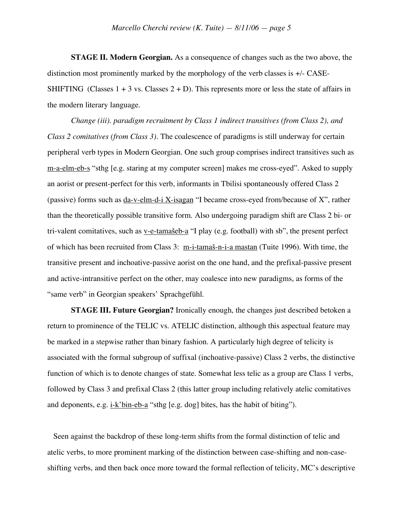**STAGE II. Modern Georgian.** As a consequence of changes such as the two above, the distinction most prominently marked by the morphology of the verb classes is +/- CASE-SHIFTING (Classes  $1 + 3$  vs. Classes  $2 + D$ ). This represents more or less the state of affairs in the modern literary language.

*Change (iii). paradigm recruitment by Class 1 indirect transitives (from Class 2), and Class 2 comitatives (from Class 3).* The coalescence of paradigms is still underway for certain peripheral verb types in Modern Georgian. One such group comprises indirect transitives such as m-a-elm-eb-s "sthg [e.g. staring at my computer screen] makes me cross-eyed". Asked to supply an aorist or present-perfect for this verb, informants in Tbilisi spontaneously offered Class 2 (passive) forms such as da-v-elm-d-i X-isagan "I became cross-eyed from/because of X", rather than the theoretically possible transitive form. Also undergoing paradigm shift are Class 2 bi- or tri-valent comitatives, such as  $v$ -e-tamaseb-a "I play (e.g. football) with sb", the present perfect of which has been recruited from Class 3: m-i-tamaš-n-i-a mastan (Tuite 1996). With time, the transitive present and inchoative-passive aorist on the one hand, and the prefixal-passive present and active-intransitive perfect on the other, may coalesce into new paradigms, as forms of the "same verb" in Georgian speakers' Sprachgefühl.

**STAGE III. Future Georgian?** Ironically enough, the changes just described betoken a return to prominence of the TELIC vs. ATELIC distinction, although this aspectual feature may be marked in a stepwise rather than binary fashion. A particularly high degree of telicity is associated with the formal subgroup of suffixal (inchoative-passive) Class 2 verbs, the distinctive function of which is to denote changes of state. Somewhat less telic as a group are Class 1 verbs, followed by Class 3 and prefixal Class 2 (this latter group including relatively atelic comitatives and deponents, e.g. i-k'bin-eb-a "sthg [e.g. dog] bites, has the habit of biting").

Seen against the backdrop of these long-term shifts from the formal distinction of telic and atelic verbs, to more prominent marking of the distinction between case-shifting and non-caseshifting verbs, and then back once more toward the formal reflection of telicity, MC's descriptive